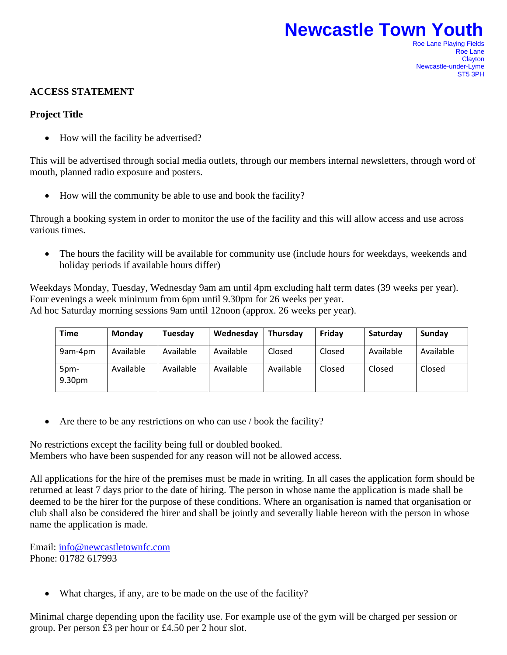## **Newcastle Town Youth**

## **ACCESS STATEMENT**

## **Project Title**

• How will the facility be advertised?

This will be advertised through social media outlets, through our members internal newsletters, through word of mouth, planned radio exposure and posters.

• How will the community be able to use and book the facility?

Through a booking system in order to monitor the use of the facility and this will allow access and use across various times.

The hours the facility will be available for community use (include hours for weekdays, weekends and holiday periods if available hours differ)

Weekdays Monday, Tuesday, Wednesday 9am am until 4pm excluding half term dates (39 weeks per year). Four evenings a week minimum from 6pm until 9.30pm for 26 weeks per year. Ad hoc Saturday morning sessions 9am until 12noon (approx. 26 weeks per year).

| Time           | Monday    | <b>Tuesdav</b> | Wednesday | <b>Thursday</b> | Fridav | Saturday  | Sunday    |
|----------------|-----------|----------------|-----------|-----------------|--------|-----------|-----------|
| 9am-4pm        | Available | Available      | Available | Closed          | Closed | Available | Available |
| 5pm-<br>9.30pm | Available | Available      | Available | Available       | Closed | Closed    | Closed    |

Are there to be any restrictions on who can use / book the facility?

No restrictions except the facility being full or doubled booked.

Members who have been suspended for any reason will not be allowed access.

All applications for the hire of the premises must be made in writing. In all cases the application form should be returned at least 7 days prior to the date of hiring. The person in whose name the application is made shall be deemed to be the hirer for the purpose of these conditions. Where an organisation is named that organisation or club shall also be considered the hirer and shall be jointly and severally liable hereon with the person in whose name the application is made.

Email: [info@newcastletownfc.com](mailto:info@newcastletownfc.co) Phone: 01782 617993

What charges, if any, are to be made on the use of the facility?

Minimal charge depending upon the facility use. For example use of the gym will be charged per session or group. Per person £3 per hour or £4.50 per 2 hour slot.